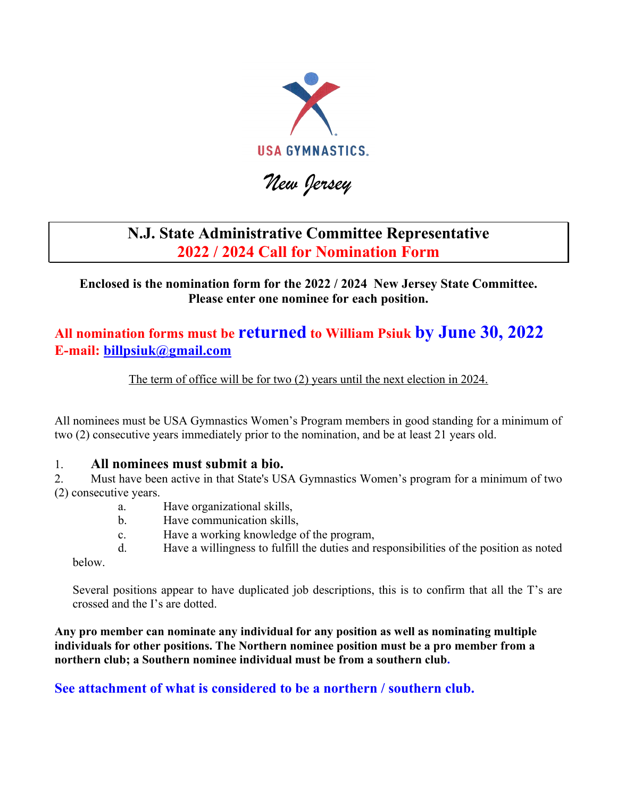

# *New Jersey*

### **N.J. State Administrative Committee Representative 2022 / 2024 Call for Nomination Form**

**Enclosed is the nomination form for the 2022 / 2024 New Jersey State Committee. Please enter one nominee for each position.**

### **All nomination forms must be returned to William Psiuk by June 30, 2022 E-mail: billpsiuk@gmail.com**

The term of office will be for two (2) years until the next election in 2024.

All nominees must be USA Gymnastics Women's Program members in good standing for a minimum of two (2) consecutive years immediately prior to the nomination, and be at least 21 years old.

#### 1. **All nominees must submit a bio.**

2. Must have been active in that State's USA Gymnastics Women's program for a minimum of two (2) consecutive years.

- a. Have organizational skills,
- b. Have communication skills,
- c. Have a working knowledge of the program,
- d. Have a willingness to fulfill the duties and responsibilities of the position as noted

below.

Several positions appear to have duplicated job descriptions, this is to confirm that all the T's are crossed and the I's are dotted.

**Any pro member can nominate any individual for any position as well as nominating multiple individuals for other positions. The Northern nominee position must be a pro member from a northern club; a Southern nominee individual must be from a southern club.** 

**See attachment of what is considered to be a northern / southern club.**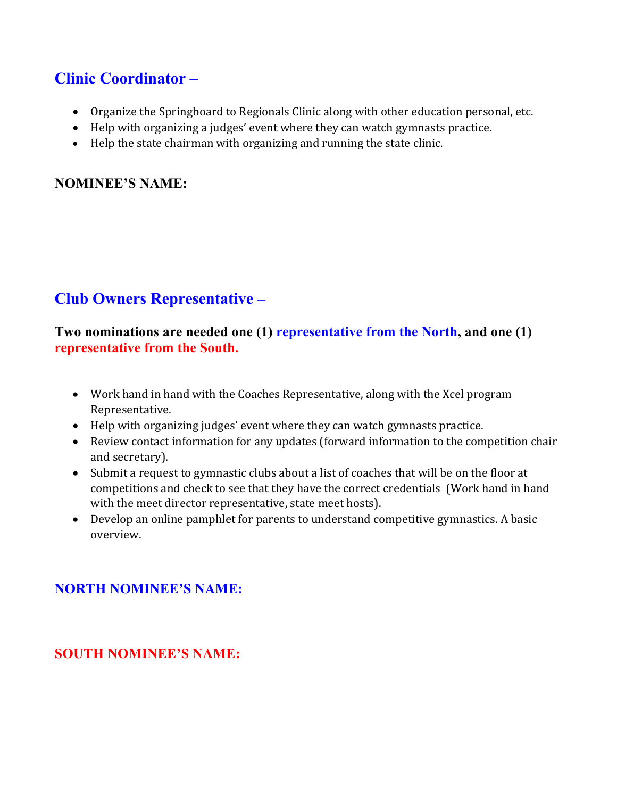## **Clinic Coordinator –**

- Organize the Springboard to Regionals Clinic along with other education personal, etc.
- Help with organizing a judges' event where they can watch gymnasts practice.
- Help the state chairman with organizing and running the state clinic.

#### **NOMINEE'S NAME:**

# **Club Owners Representative –**

### **Two nominations are needed one (1) representative from the North, and one (1) representative from the South.**

- Work hand in hand with the Coaches Representative, along with the Xcel program Representative.
- Help with organizing judges' event where they can watch gymnasts practice.
- Review contact information for any updates (forward information to the competition chair and secretary).
- Submit a request to gymnastic clubs about a list of coaches that will be on the floor at competitions and check to see that they have the correct credentials (Work hand in hand with the meet director representative, state meet hosts).
- Develop an online pamphlet for parents to understand competitive gymnastics. A basic overview.

### **NORTH NOMINEE'S NAME:**

### **SOUTH NOMINEE'S NAME:**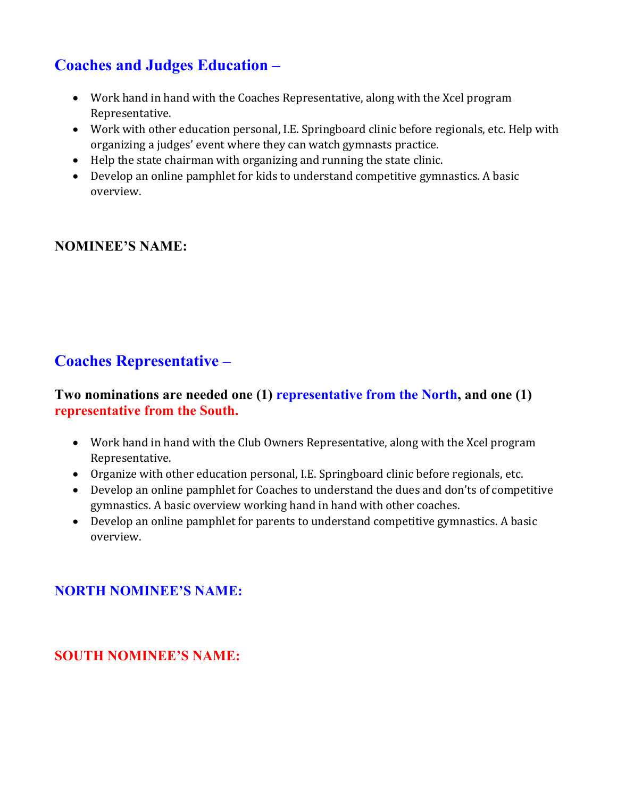# **Coaches and Judges Education –**

- Work hand in hand with the Coaches Representative, along with the Xcel program Representative.
- Work with other education personal, I.E. Springboard clinic before regionals, etc. Help with organizing a judges' event where they can watch gymnasts practice.
- $\bullet$  Help the state chairman with organizing and running the state clinic.
- Develop an online pamphlet for kids to understand competitive gymnastics. A basic overview.

### **NOMINEE'S NAME:**

# **Coaches Representative –**

#### **Two nominations are needed one (1) representative from the North, and one (1) representative from the South.**

- Work hand in hand with the Club Owners Representative, along with the Xcel program Representative.
- Organize with other education personal, I.E. Springboard clinic before regionals, etc.
- Develop an online pamphlet for Coaches to understand the dues and don'ts of competitive gymnastics. A basic overview working hand in hand with other coaches.
- Develop an online pamphlet for parents to understand competitive gymnastics. A basic overview.

### **NORTH NOMINEE'S NAME:**

### **SOUTH NOMINEE'S NAME:**